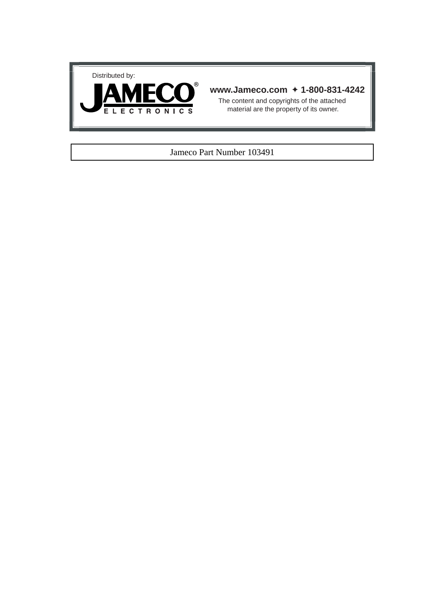



### **www.Jameco.com** ✦ **1-800-831-4242**

The content and copyrights of the attached material are the property of its owner.

#### Jameco Part Number 103491